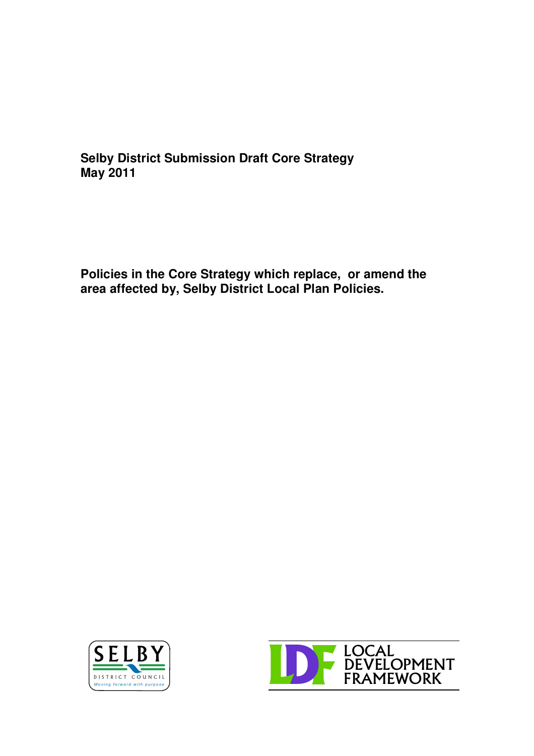## **Selby District Submission Draft Core Strategy May 2011**

**Policies in the Core Strategy which replace, or amend the area affected by, Selby District Local Plan Policies.**



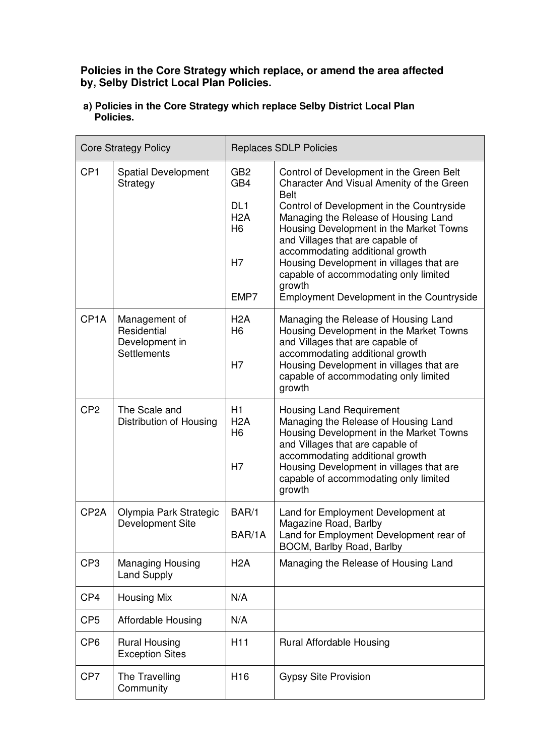## **Policies in the Core Strategy which replace, or amend the area affected by, Selby District Local Plan Policies.**

## **a) Policies in the Core Strategy which replace Selby District Local Plan Policies.**

| <b>Core Strategy Policy</b> |                                                               | <b>Replaces SDLP Policies</b>                                                                 |                                                                                                                                                                                                                                                                                                                                                                                                                                                         |
|-----------------------------|---------------------------------------------------------------|-----------------------------------------------------------------------------------------------|---------------------------------------------------------------------------------------------------------------------------------------------------------------------------------------------------------------------------------------------------------------------------------------------------------------------------------------------------------------------------------------------------------------------------------------------------------|
| CP <sub>1</sub>             | <b>Spatial Development</b><br>Strategy                        | GB <sub>2</sub><br>GB4<br>DL <sub>1</sub><br>H <sub>2</sub> A<br>H <sub>6</sub><br>H7<br>EMP7 | Control of Development in the Green Belt<br>Character And Visual Amenity of the Green<br><b>Belt</b><br>Control of Development in the Countryside<br>Managing the Release of Housing Land<br>Housing Development in the Market Towns<br>and Villages that are capable of<br>accommodating additional growth<br>Housing Development in villages that are<br>capable of accommodating only limited<br>growth<br>Employment Development in the Countryside |
| CP <sub>1</sub> A           | Management of<br>Residential<br>Development in<br>Settlements | H2A<br>H <sub>6</sub><br>H7                                                                   | Managing the Release of Housing Land<br>Housing Development in the Market Towns<br>and Villages that are capable of<br>accommodating additional growth<br>Housing Development in villages that are<br>capable of accommodating only limited<br>growth                                                                                                                                                                                                   |
| CP <sub>2</sub>             | The Scale and<br>Distribution of Housing                      | H1<br>H <sub>2</sub> A<br>H <sub>6</sub><br>H7                                                | <b>Housing Land Requirement</b><br>Managing the Release of Housing Land<br>Housing Development in the Market Towns<br>and Villages that are capable of<br>accommodating additional growth<br>Housing Development in villages that are<br>capable of accommodating only limited<br>growth                                                                                                                                                                |
| CP <sub>2</sub> A           | Olympia Park Strategic<br>Development Site                    | BAR/1<br>BAR/1A                                                                               | Land for Employment Development at<br>Magazine Road, Barlby<br>Land for Employment Development rear of<br>BOCM, Barlby Road, Barlby                                                                                                                                                                                                                                                                                                                     |
| CP <sub>3</sub>             | <b>Managing Housing</b><br><b>Land Supply</b>                 | H <sub>2</sub> A                                                                              | Managing the Release of Housing Land                                                                                                                                                                                                                                                                                                                                                                                                                    |
| CP4                         | <b>Housing Mix</b>                                            | N/A                                                                                           |                                                                                                                                                                                                                                                                                                                                                                                                                                                         |
| CP <sub>5</sub>             | Affordable Housing                                            | N/A                                                                                           |                                                                                                                                                                                                                                                                                                                                                                                                                                                         |
| CP <sub>6</sub>             | <b>Rural Housing</b><br><b>Exception Sites</b>                | H <sub>11</sub>                                                                               | Rural Affordable Housing                                                                                                                                                                                                                                                                                                                                                                                                                                |
| CP7                         | The Travelling<br>Community                                   | H <sub>16</sub>                                                                               | <b>Gypsy Site Provision</b>                                                                                                                                                                                                                                                                                                                                                                                                                             |